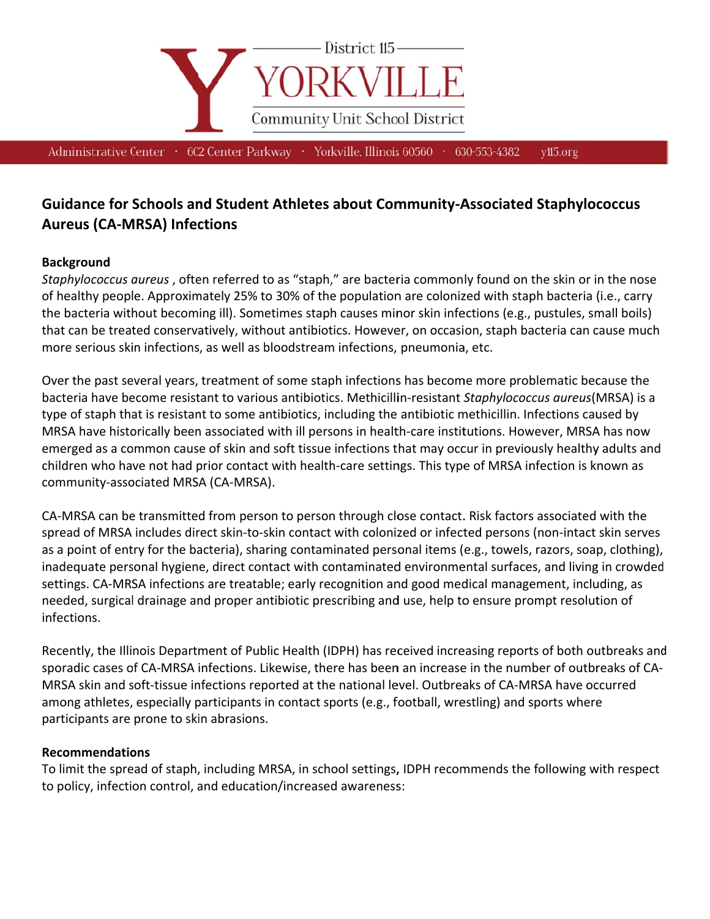

Administrative Center • 602 Center Parkway • Yorkville, Illinois 60560 • 630-553-4382

yll<sub>5.org</sub>

# **Guidance for Schools and Student Athletes about Community-Associated Staphylococcus Aureus (CA-MRSA) Infections**

### **Background**

Staphylococcus aureus, often referred to as "staph," are bacteria commonly found on the skin or in the nose of healthy people. Approximately 25% to 30% of the population are colonized with staph bacteria (i.e., carry the bacteria without becoming ill). Sometimes staph causes minor skin infections (e.g., pustules, small boils) that can be treated conservatively, without antibiotics. However, on occasion, staph bacteria can cause much more serious skin infections, as well as bloodstream infections, pneumonia, etc.

Over the past several years, treatment of some staph infections has become more problematic because the bacteria have become resistant to various antibiotics. Methicillin-resistant Staphylococcus aureus(MRSA) is a type of staph that is resistant to some antibiotics, including the antibiotic methicillin. Infections caused by MRSA have historically been associated with ill persons in health-care institutions. However, MRSA has now emerged as a common cause of skin and soft tissue infections that may occur in previously healthy adults and children who have not had prior contact with health-care settings. This type of MRSA infection is known as community-associated MRSA (CA-MRSA).

CA-MRSA can be transmitted from person to person through close contact. Risk factors associated with the spread of MRSA includes direct skin-to-skin contact with colonized or infected persons (non-intact skin serves as a point of entry for the bacteria), sharing contaminated personal items (e.g., towels, razors, soap, clothing), inadequate personal hygiene, direct contact with contaminated environmental surfaces, and living in crowded settings. CA-MRSA infections are treatable; early recognition and good medical management, including, as needed, surgical drainage and proper antibiotic prescribing and use, help to ensure prompt resolution of infections.

Recently, the Illinois Department of Public Health (IDPH) has received increasing reports of both outbreaks and sporadic cases of CA-MRSA infections. Likewise, there has been an increase in the number of outbreaks of CA-MRSA skin and soft-tissue infections reported at the national level. Outbreaks of CA-MRSA have occurred among athletes, especially participants in contact sports (e.g., football, wrestling) and sports where participants are prone to skin abrasions.

#### **Recommendations**

To limit the spread of staph, including MRSA, in school settings, IDPH recommends the following with respect to policy, infection control, and education/increased awareness: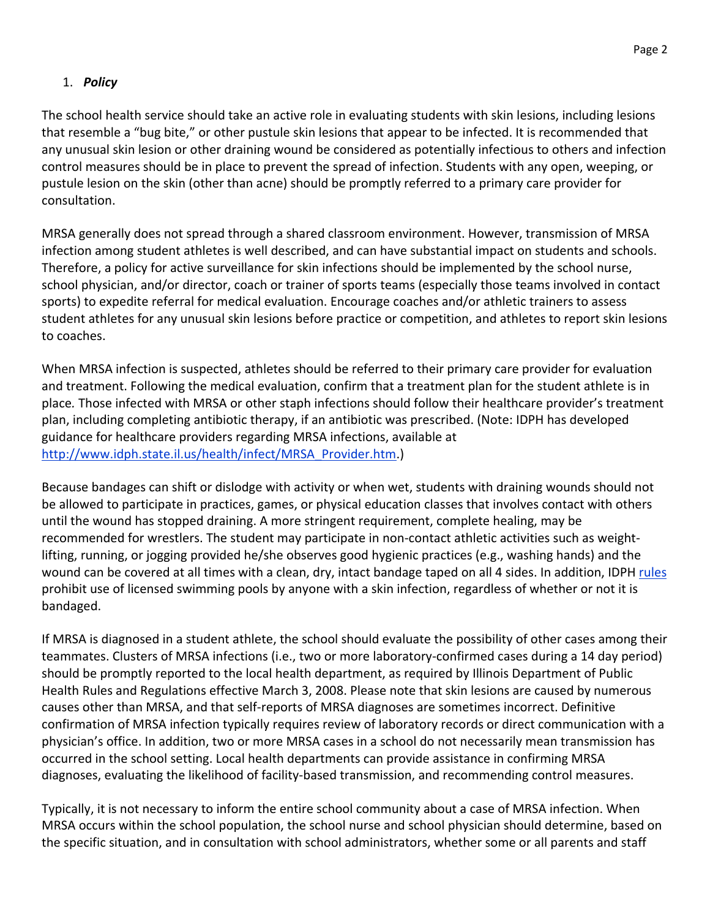## 1. *Policy*

The school health service should take an active role in evaluating students with skin lesions, including lesions that resemble a "bug bite," or other pustule skin lesions that appear to be infected. It is recommended that any unusual skin lesion or other draining wound be considered as potentially infectious to others and infection control measures should be in place to prevent the spread of infection. Students with any open, weeping, or pustule lesion on the skin (other than acne) should be promptly referred to a primary care provider for consultation.

MRSA generally does not spread through a shared classroom environment. However, transmission of MRSA infection among student athletes is well described, and can have substantial impact on students and schools. Therefore, a policy for active surveillance for skin infections should be implemented by the school nurse, school physician, and/or director, coach or trainer of sports teams (especially those teams involved in contact sports) to expedite referral for medical evaluation. Encourage coaches and/or athletic trainers to assess student athletes for any unusual skin lesions before practice or competition, and athletes to report skin lesions to coaches.

When MRSA infection is suspected, athletes should be referred to their primary care provider for evaluation and treatment. Following the medical evaluation, confirm that a treatment plan for the student athlete is in place*.* Those infected with MRSA or other staph infections should follow their healthcare provider's treatment plan, including completing antibiotic therapy, if an antibiotic was prescribed. (Note: IDPH has developed guidance for healthcare providers regarding MRSA infections, available at http://www.idph.state.il.us/health/infect/MRSA\_Provider.htm.)

Because bandages can shift or dislodge with activity or when wet, students with draining wounds should not be allowed to participate in practices, games, or physical education classes that involves contact with others until the wound has stopped draining. A more stringent requirement, complete healing, may be recommended for wrestlers. The student may participate in non‐contact athletic activities such as weight‐ lifting, running, or jogging provided he/she observes good hygienic practices (e.g., washing hands) and the wound can be covered at all times with a clean, dry, intact bandage taped on all 4 sides. In addition, IDPH rules prohibit use of licensed swimming pools by anyone with a skin infection, regardless of whether or not it is bandaged.

If MRSA is diagnosed in a student athlete, the school should evaluate the possibility of other cases among their teammates. Clusters of MRSA infections (i.e., two or more laboratory‐confirmed cases during a 14 day period) should be promptly reported to the local health department, as required by Illinois Department of Public Health Rules and Regulations effective March 3, 2008. Please note that skin lesions are caused by numerous causes other than MRSA, and that self‐reports of MRSA diagnoses are sometimes incorrect. Definitive confirmation of MRSA infection typically requires review of laboratory records or direct communication with a physician's office. In addition, two or more MRSA cases in a school do not necessarily mean transmission has occurred in the school setting. Local health departments can provide assistance in confirming MRSA diagnoses, evaluating the likelihood of facility‐based transmission, and recommending control measures.

Typically, it is not necessary to inform the entire school community about a case of MRSA infection. When MRSA occurs within the school population, the school nurse and school physician should determine, based on the specific situation, and in consultation with school administrators, whether some or all parents and staff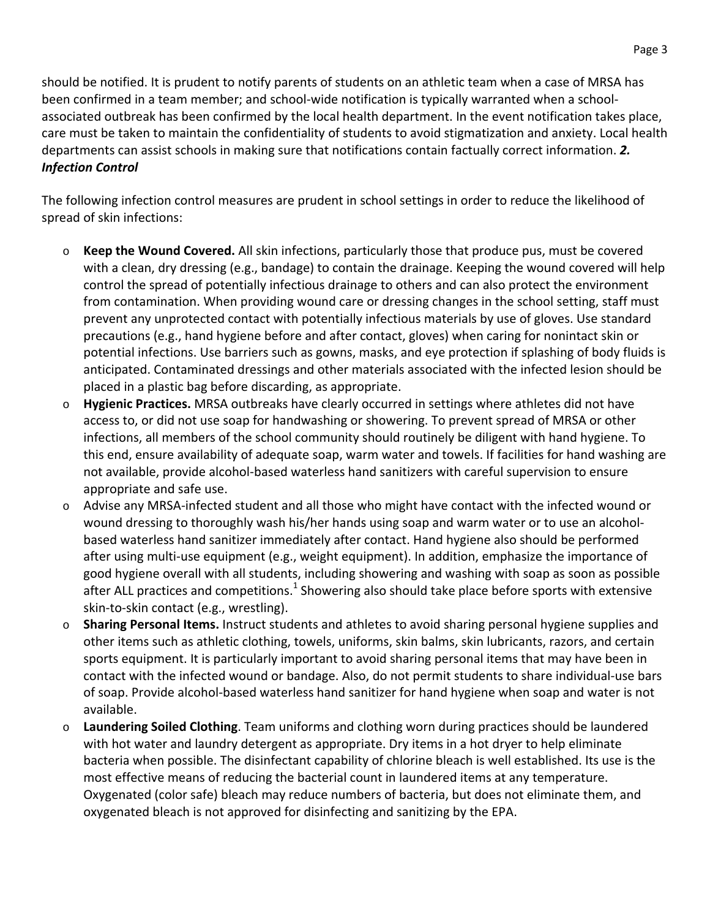should be notified. It is prudent to notify parents of students on an athletic team when a case of MRSA has been confirmed in a team member; and school-wide notification is typically warranted when a schoolassociated outbreak has been confirmed by the local health department. In the event notification takes place, care must be taken to maintain the confidentiality of students to avoid stigmatization and anxiety. Local health departments can assist schools in making sure that notifications contain factually correct information. *2. Infection Control*

The following infection control measures are prudent in school settings in order to reduce the likelihood of spread of skin infections:

- o **Keep the Wound Covered.** All skin infections, particularly those that produce pus, must be covered with a clean, dry dressing (e.g., bandage) to contain the drainage. Keeping the wound covered will help control the spread of potentially infectious drainage to others and can also protect the environment from contamination. When providing wound care or dressing changes in the school setting, staff must prevent any unprotected contact with potentially infectious materials by use of gloves. Use standard precautions (e.g., hand hygiene before and after contact, gloves) when caring for nonintact skin or potential infections. Use barriers such as gowns, masks, and eye protection if splashing of body fluids is anticipated. Contaminated dressings and other materials associated with the infected lesion should be placed in a plastic bag before discarding, as appropriate.
- o **Hygienic Practices.** MRSA outbreaks have clearly occurred in settings where athletes did not have access to, or did not use soap for handwashing or showering. To prevent spread of MRSA or other infections, all members of the school community should routinely be diligent with hand hygiene. To this end, ensure availability of adequate soap, warm water and towels. If facilities for hand washing are not available, provide alcohol‐based waterless hand sanitizers with careful supervision to ensure appropriate and safe use.
- o Advise any MRSA‐infected student and all those who might have contact with the infected wound or wound dressing to thoroughly wash his/her hands using soap and warm water or to use an alcoholbased waterless hand sanitizer immediately after contact. Hand hygiene also should be performed after using multi‐use equipment (e.g., weight equipment). In addition, emphasize the importance of good hygiene overall with all students, including showering and washing with soap as soon as possible after ALL practices and competitions.<sup>1</sup> Showering also should take place before sports with extensive skin‐to‐skin contact (e.g., wrestling).
- o **Sharing Personal Items.** Instruct students and athletes to avoid sharing personal hygiene supplies and other items such as athletic clothing, towels, uniforms, skin balms, skin lubricants, razors, and certain sports equipment. It is particularly important to avoid sharing personal items that may have been in contact with the infected wound or bandage. Also, do not permit students to share individual‐use bars of soap. Provide alcohol‐based waterless hand sanitizer for hand hygiene when soap and water is not available.
- o **Laundering Soiled Clothing**. Team uniforms and clothing worn during practices should be laundered with hot water and laundry detergent as appropriate. Dry items in a hot dryer to help eliminate bacteria when possible. The disinfectant capability of chlorine bleach is well established. Its use is the most effective means of reducing the bacterial count in laundered items at any temperature. Oxygenated (color safe) bleach may reduce numbers of bacteria, but does not eliminate them, and oxygenated bleach is not approved for disinfecting and sanitizing by the EPA.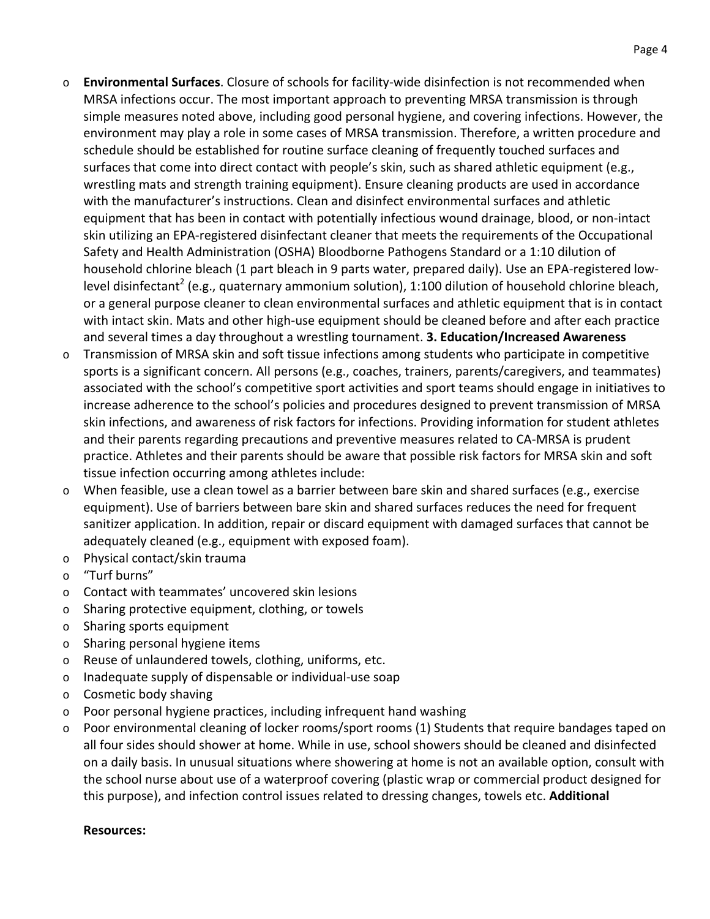- o **Environmental Surfaces**. Closure of schools for facility‐wide disinfection is not recommended when MRSA infections occur. The most important approach to preventing MRSA transmission is through simple measures noted above, including good personal hygiene, and covering infections. However, the environment may play a role in some cases of MRSA transmission. Therefore, a written procedure and schedule should be established for routine surface cleaning of frequently touched surfaces and surfaces that come into direct contact with people's skin, such as shared athletic equipment (e.g., wrestling mats and strength training equipment). Ensure cleaning products are used in accordance with the manufacturer's instructions. Clean and disinfect environmental surfaces and athletic equipment that has been in contact with potentially infectious wound drainage, blood, or non‐intact skin utilizing an EPA‐registered disinfectant cleaner that meets the requirements of the Occupational Safety and Health Administration (OSHA) Bloodborne Pathogens Standard or a 1:10 dilution of household chlorine bleach (1 part bleach in 9 parts water, prepared daily). Use an EPA-registered lowlevel disinfectant<sup>2</sup> (e.g., quaternary ammonium solution), 1:100 dilution of household chlorine bleach, or a general purpose cleaner to clean environmental surfaces and athletic equipment that is in contact with intact skin. Mats and other high-use equipment should be cleaned before and after each practice and several times a day throughout a wrestling tournament. **3. Education/Increased Awareness**
- o Transmission of MRSA skin and soft tissue infections among students who participate in competitive sports is a significant concern. All persons (e.g., coaches, trainers, parents/caregivers, and teammates) associated with the school's competitive sport activities and sport teams should engage in initiatives to increase adherence to the school's policies and procedures designed to prevent transmission of MRSA skin infections, and awareness of risk factors for infections. Providing information for student athletes and their parents regarding precautions and preventive measures related to CA‐MRSA is prudent practice. Athletes and their parents should be aware that possible risk factors for MRSA skin and soft tissue infection occurring among athletes include:
- $\circ$  When feasible, use a clean towel as a barrier between bare skin and shared surfaces (e.g., exercise equipment). Use of barriers between bare skin and shared surfaces reduces the need for frequent sanitizer application. In addition, repair or discard equipment with damaged surfaces that cannot be adequately cleaned (e.g., equipment with exposed foam).
- o Physical contact/skin trauma
- o "Turf burns"
- o Contact with teammates' uncovered skin lesions
- o Sharing protective equipment, clothing, or towels
- o Sharing sports equipment
- o Sharing personal hygiene items
- o Reuse of unlaundered towels, clothing, uniforms, etc.
- o Inadequate supply of dispensable or individual‐use soap
- o Cosmetic body shaving
- o Poor personal hygiene practices, including infrequent hand washing
- $\circ$  Poor environmental cleaning of locker rooms/sport rooms (1) Students that require bandages taped on all four sides should shower at home. While in use, school showers should be cleaned and disinfected on a daily basis. In unusual situations where showering at home is not an available option, consult with the school nurse about use of a waterproof covering (plastic wrap or commercial product designed for this purpose), and infection control issues related to dressing changes, towels etc. **Additional**

#### **Resources:**